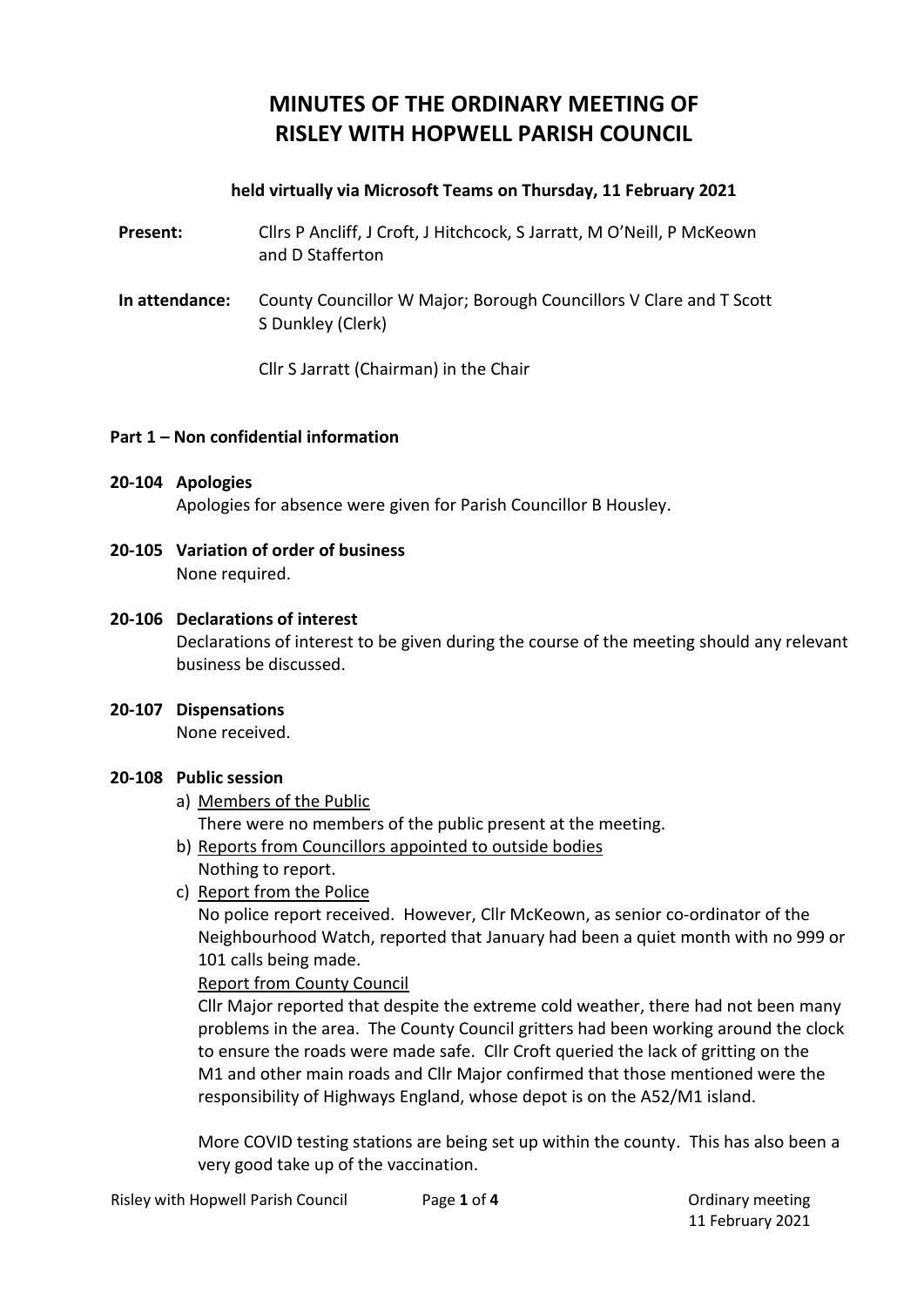# **MINUTES OF THE ORDINARY MEETING OF RISLEY WITH HOPWELL PARISH COUNCIL**

## **held virtually via Microsoft Teams on Thursday, 11 February 2021**

- **Present:** Cllrs P Ancliff, J Croft, J Hitchcock, S Jarratt, M O'Neill, P McKeown and D Stafferton
- **In attendance:** County Councillor W Major; Borough Councillors V Clare and T Scott S Dunkley (Clerk)

Cllr S Jarratt (Chairman) in the Chair

#### **Part 1 – Non confidential information**

#### **20-104 Apologies**

Apologies for absence were given for Parish Councillor B Housley.

**20-105 Variation of order of business** None required.

#### **20-106 Declarations of interest**

Declarations of interest to be given during the course of the meeting should any relevant business be discussed.

#### **20-107 Dispensations**

None received.

#### **20-108 Public session**

- a) Members of the Public There were no members of the public present at the meeting.
- b) Reports from Councillors appointed to outside bodies Nothing to report.
- c) Report from the Police

No police report received. However, Cllr McKeown, as senior co-ordinator of the Neighbourhood Watch, reported that January had been a quiet month with no 999 or 101 calls being made.

#### Report from County Council

Cllr Major reported that despite the extreme cold weather, there had not been many problems in the area. The County Council gritters had been working around the clock to ensure the roads were made safe. Cllr Croft queried the lack of gritting on the M1 and other main roads and Cllr Major confirmed that those mentioned were the responsibility of Highways England, whose depot is on the A52/M1 island.

More COVID testing stations are being set up within the county. This has also been a very good take up of the vaccination.

11 February 2021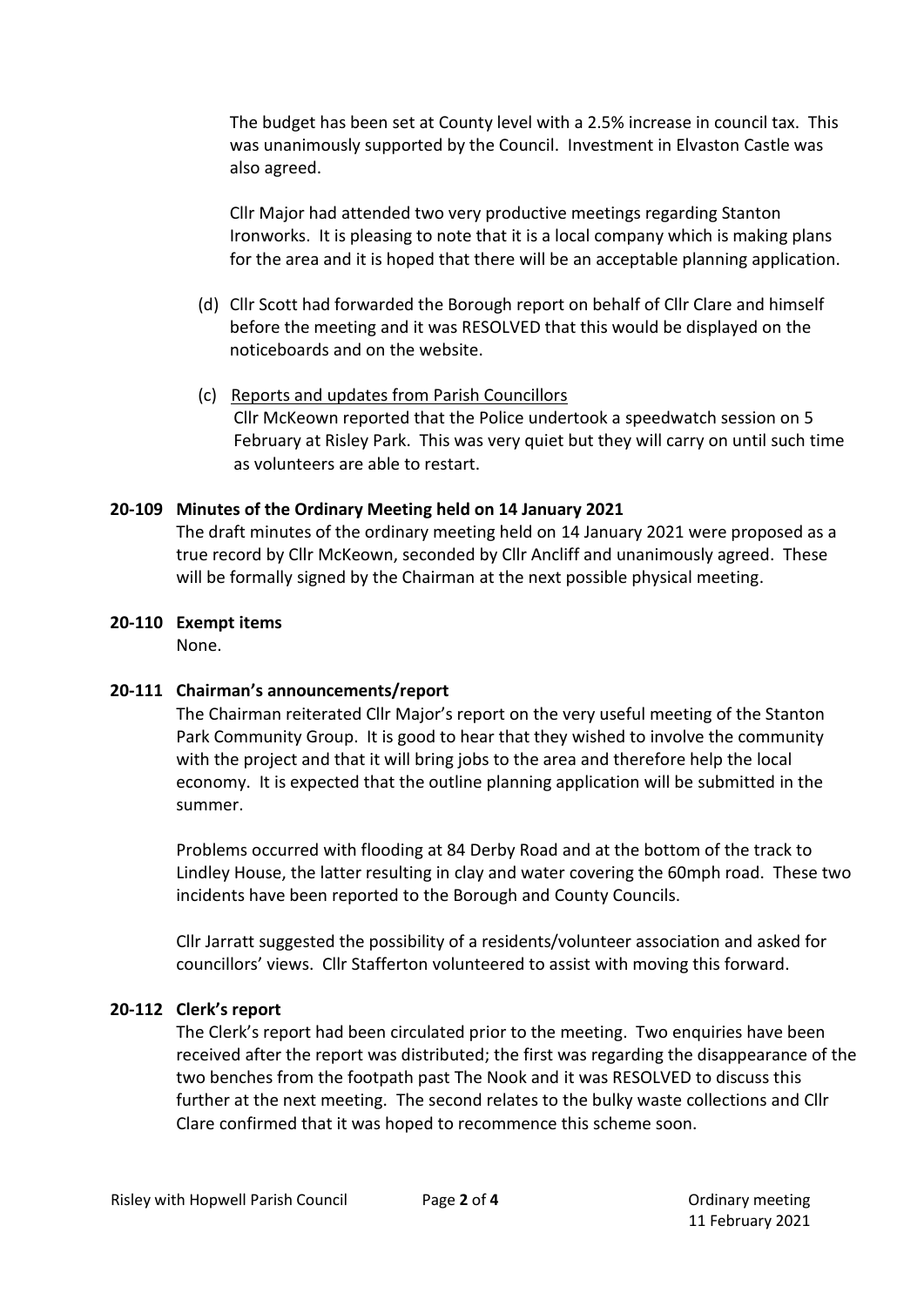The budget has been set at County level with a 2.5% increase in council tax. This was unanimously supported by the Council. Investment in Elvaston Castle was also agreed.

Cllr Major had attended two very productive meetings regarding Stanton Ironworks. It is pleasing to note that it is a local company which is making plans for the area and it is hoped that there will be an acceptable planning application.

- (d) Cllr Scott had forwarded the Borough report on behalf of Cllr Clare and himself before the meeting and it was RESOLVED that this would be displayed on the noticeboards and on the website.
- (c) Reports and updates from Parish Councillors Cllr McKeown reported that the Police undertook a speedwatch session on 5 February at Risley Park. This was very quiet but they will carry on until such time as volunteers are able to restart.

## **20-109 Minutes of the Ordinary Meeting held on 14 January 2021**

The draft minutes of the ordinary meeting held on 14 January 2021 were proposed as a true record by Cllr McKeown, seconded by Cllr Ancliff and unanimously agreed. These will be formally signed by the Chairman at the next possible physical meeting.

#### **20-110 Exempt items**

None.

## **20-111 Chairman's announcements/report**

The Chairman reiterated Cllr Major's report on the very useful meeting of the Stanton Park Community Group. It is good to hear that they wished to involve the community with the project and that it will bring jobs to the area and therefore help the local economy. It is expected that the outline planning application will be submitted in the summer.

Problems occurred with flooding at 84 Derby Road and at the bottom of the track to Lindley House, the latter resulting in clay and water covering the 60mph road. These two incidents have been reported to the Borough and County Councils.

Cllr Jarratt suggested the possibility of a residents/volunteer association and asked for councillors' views. Cllr Stafferton volunteered to assist with moving this forward.

## **20-112 Clerk's report**

The Clerk's report had been circulated prior to the meeting. Two enquiries have been received after the report was distributed; the first was regarding the disappearance of the two benches from the footpath past The Nook and it was RESOLVED to discuss this further at the next meeting. The second relates to the bulky waste collections and Cllr Clare confirmed that it was hoped to recommence this scheme soon.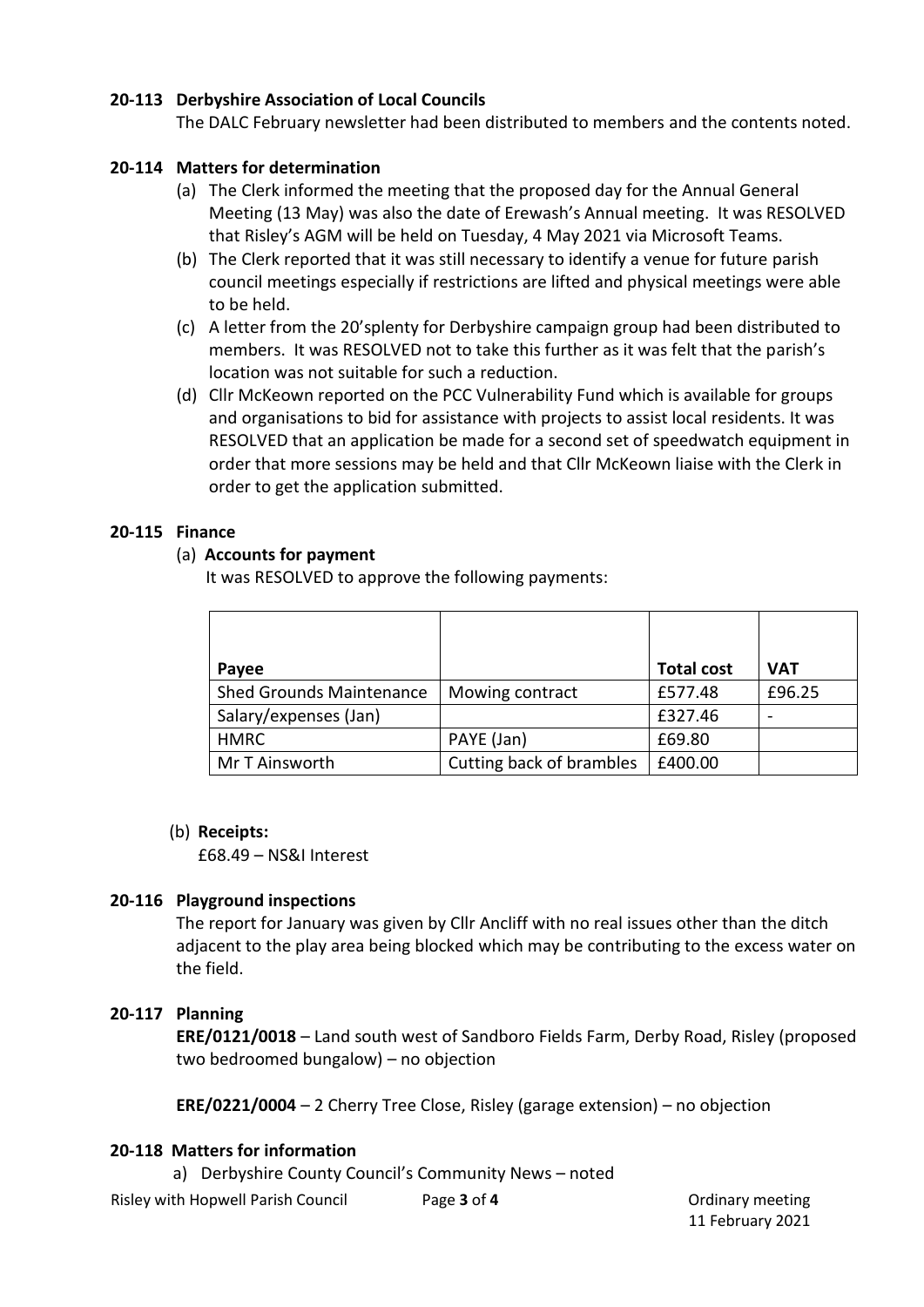## **20-113 Derbyshire Association of Local Councils**

The DALC February newsletter had been distributed to members and the contents noted.

# **20-114 Matters for determination**

- (a) The Clerk informed the meeting that the proposed day for the Annual General Meeting (13 May) was also the date of Erewash's Annual meeting. It was RESOLVED that Risley's AGM will be held on Tuesday, 4 May 2021 via Microsoft Teams.
- (b) The Clerk reported that it was still necessary to identify a venue for future parish council meetings especially if restrictions are lifted and physical meetings were able to be held.
- (c) A letter from the 20'splenty for Derbyshire campaign group had been distributed to members. It was RESOLVED not to take this further as it was felt that the parish's location was not suitable for such a reduction.
- (d) Cllr McKeown reported on the PCC Vulnerability Fund which is available for groups and organisations to bid for assistance with projects to assist local residents. It was RESOLVED that an application be made for a second set of speedwatch equipment in order that more sessions may be held and that Cllr McKeown liaise with the Clerk in order to get the application submitted.

# **20-115 Finance**

# (a) **Accounts for payment**

It was RESOLVED to approve the following payments:

| Payee                           |                          | <b>Total cost</b> | <b>VAT</b> |
|---------------------------------|--------------------------|-------------------|------------|
| <b>Shed Grounds Maintenance</b> | Mowing contract          | £577.48           | £96.25     |
| Salary/expenses (Jan)           |                          | £327.46           |            |
| <b>HMRC</b>                     | PAYE (Jan)               | £69.80            |            |
| Mr T Ainsworth                  | Cutting back of brambles | £400.00           |            |

## (b) **Receipts:**

£68.49 – NS&I Interest

## **20-116 Playground inspections**

The report for January was given by Cllr Ancliff with no real issues other than the ditch adjacent to the play area being blocked which may be contributing to the excess water on the field.

# **20-117 Planning**

**ERE/0121/0018** – Land south west of Sandboro Fields Farm, Derby Road, Risley (proposed two bedroomed bungalow) – no objection

**ERE/0221/0004** – 2 Cherry Tree Close, Risley (garage extension) – no objection

## **20-118 Matters for information**

a) Derbyshire County Council's Community News – noted

11 February 2021